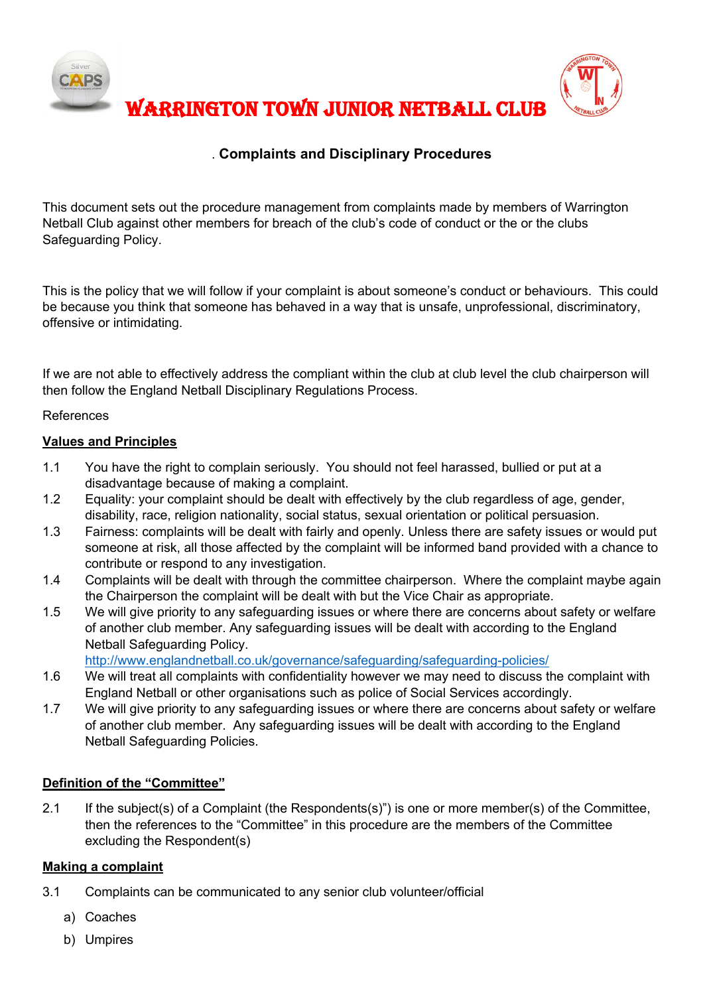

### . **Complaints and Disciplinary Procedures**

This document sets out the procedure management from complaints made by members of Warrington Netball Club against other members for breach of the club's code of conduct or the or the clubs Safeguarding Policy.

This is the policy that we will follow if your complaint is about someone's conduct or behaviours. This could be because you think that someone has behaved in a way that is unsafe, unprofessional, discriminatory, offensive or intimidating.

If we are not able to effectively address the compliant within the club at club level the club chairperson will then follow the England Netball Disciplinary Regulations Process.

#### References

#### **Values and Principles**

- 1.1 You have the right to complain seriously. You should not feel harassed, bullied or put at a disadvantage because of making a complaint.
- 1.2 Equality: your complaint should be dealt with effectively by the club regardless of age, gender, disability, race, religion nationality, social status, sexual orientation or political persuasion.
- 1.3 Fairness: complaints will be dealt with fairly and openly. Unless there are safety issues or would put someone at risk, all those affected by the complaint will be informed band provided with a chance to contribute or respond to any investigation.
- 1.4 Complaints will be dealt with through the committee chairperson. Where the complaint maybe again the Chairperson the complaint will be dealt with but the Vice Chair as appropriate.
- 1.5 We will give priority to any safeguarding issues or where there are concerns about safety or welfare of another club member. Any safeguarding issues will be dealt with according to the England Netball Safeguarding Policy.

http://www.englandnetball.co.uk/governance/safeguarding/safeguarding-policies/

- 1.6 We will treat all complaints with confidentiality however we may need to discuss the complaint with England Netball or other organisations such as police of Social Services accordingly.
- 1.7 We will give priority to any safeguarding issues or where there are concerns about safety or welfare of another club member. Any safeguarding issues will be dealt with according to the England Netball Safeguarding Policies.

#### **Definition of the "Committee"**

2.1 If the subject(s) of a Complaint (the Respondents(s)") is one or more member(s) of the Committee, then the references to the "Committee" in this procedure are the members of the Committee excluding the Respondent(s)

#### **Making a complaint**

- 3.1 Complaints can be communicated to any senior club volunteer/official
	- a) Coaches
	- b) Umpires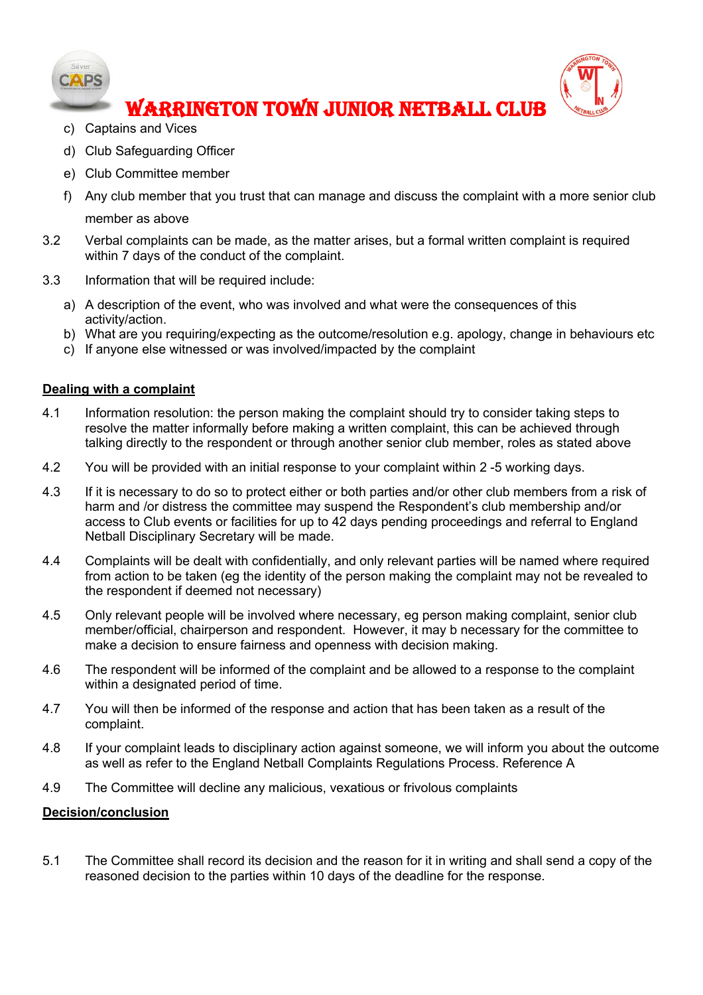



# WARRINGTON TOWN JUNIOR NETBALL CLUB

- c) Captains and Vices
- d) Club Safeguarding Officer
- e) Club Committee member
- f) Any club member that you trust that can manage and discuss the complaint with a more senior club member as above
- 3.2 Verbal complaints can be made, as the matter arises, but a formal written complaint is required within 7 days of the conduct of the complaint.
- 3.3 Information that will be required include:
	- a) A description of the event, who was involved and what were the consequences of this activity/action.
	- b) What are you requiring/expecting as the outcome/resolution e.g. apology, change in behaviours etc
	- c) If anyone else witnessed or was involved/impacted by the complaint

#### **Dealing with a complaint**

- 4.1 Information resolution: the person making the complaint should try to consider taking steps to resolve the matter informally before making a written complaint, this can be achieved through talking directly to the respondent or through another senior club member, roles as stated above
- 4.2 You will be provided with an initial response to your complaint within 2 -5 working days.
- 4.3 If it is necessary to do so to protect either or both parties and/or other club members from a risk of harm and /or distress the committee may suspend the Respondent's club membership and/or access to Club events or facilities for up to 42 days pending proceedings and referral to England Netball Disciplinary Secretary will be made.
- 4.4 Complaints will be dealt with confidentially, and only relevant parties will be named where required from action to be taken (eg the identity of the person making the complaint may not be revealed to the respondent if deemed not necessary)
- 4.5 Only relevant people will be involved where necessary, eg person making complaint, senior club member/official, chairperson and respondent. However, it may b necessary for the committee to make a decision to ensure fairness and openness with decision making.
- 4.6 The respondent will be informed of the complaint and be allowed to a response to the complaint within a designated period of time.
- 4.7 You will then be informed of the response and action that has been taken as a result of the complaint.
- 4.8 If your complaint leads to disciplinary action against someone, we will inform you about the outcome as well as refer to the England Netball Complaints Regulations Process. Reference A
- 4.9 The Committee will decline any malicious, vexatious or frivolous complaints

#### **Decision/conclusion**

5.1 The Committee shall record its decision and the reason for it in writing and shall send a copy of the reasoned decision to the parties within 10 days of the deadline for the response.